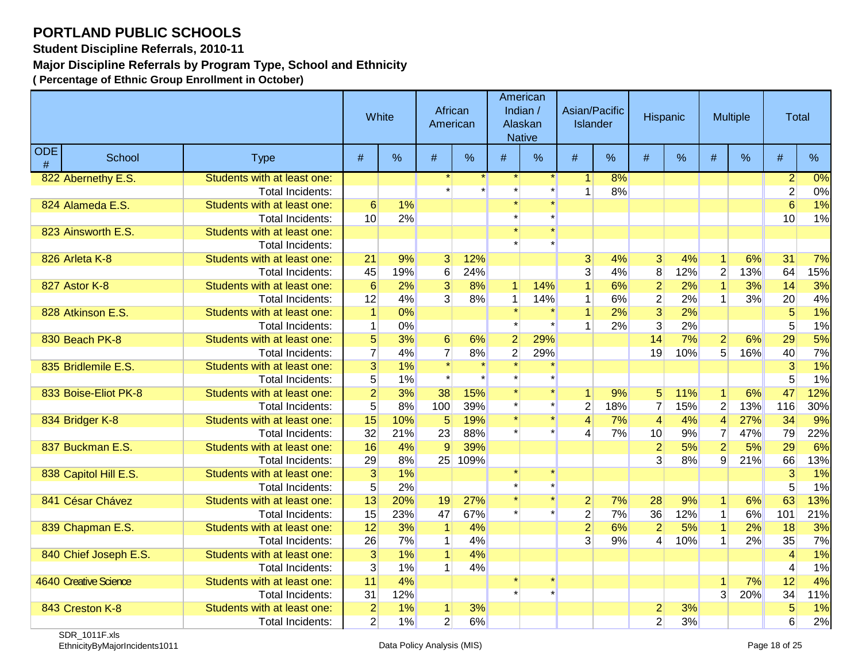**Student Discipline Referrals, 2010-11**

**Major Discipline Referrals by Program Type, School and Ethnicity**

|                    |                       |                             | White           |     | African<br>American |         |                | American<br>Indian /<br>Alaskan<br><b>Native</b> | Asian/Pacific<br><b>Islander</b> |     | Hispanic        |     |                  | <b>Multiple</b> | <b>Total</b>   |       |
|--------------------|-----------------------|-----------------------------|-----------------|-----|---------------------|---------|----------------|--------------------------------------------------|----------------------------------|-----|-----------------|-----|------------------|-----------------|----------------|-------|
| <b>ODE</b><br>$\#$ | School                | <b>Type</b>                 | #               | %   | #                   | %       | #              | $\%$                                             | #                                | %   | $\#$            | %   | #                | %               | #              | %     |
|                    | 822 Abernethy E.S.    | Students with at least one: |                 |     |                     |         |                |                                                  |                                  | 8%  |                 |     |                  |                 | $\overline{2}$ | 0%    |
|                    |                       | Total Incidents:            |                 |     |                     |         |                |                                                  | $\mathbf{1}$                     | 8%  |                 |     |                  |                 | $\overline{2}$ | $0\%$ |
|                    | 824 Alameda E.S.      | Students with at least one: | $6\phantom{1}6$ | 1%  |                     |         |                |                                                  |                                  |     |                 |     |                  |                 | 6              | 1%    |
|                    |                       | Total Incidents:            | 10              | 2%  |                     |         |                |                                                  |                                  |     |                 |     |                  |                 | 10             | 1%    |
|                    | 823 Ainsworth E.S.    | Students with at least one: |                 |     |                     |         |                |                                                  |                                  |     |                 |     |                  |                 |                |       |
|                    |                       | <b>Total Incidents:</b>     |                 |     |                     |         |                |                                                  |                                  |     |                 |     |                  |                 |                |       |
|                    | 826 Arleta K-8        | Students with at least one: | 21              | 9%  | 3 <sup>1</sup>      | 12%     |                |                                                  | $\overline{3}$                   | 4%  | 3 <sup>l</sup>  | 4%  | $\mathbf{1}$     | 6%              | 31             | 7%    |
|                    |                       | <b>Total Incidents:</b>     | 45              | 19% | $6 \mid$            | 24%     |                |                                                  | $\overline{3}$                   | 4%  | $\bf{8}$        | 12% | $\overline{2}$   | 13%             | 64             | 15%   |
|                    | 827 Astor K-8         | Students with at least one: | $6\phantom{1}6$ | 2%  | $\overline{3}$      | 8%      | $\mathbf{1}$   | 14%                                              | $\mathbf{1}$                     | 6%  | $\overline{2}$  | 2%  | $\overline{1}$   | 3%              | 14             | 3%    |
|                    |                       | <b>Total Incidents:</b>     | 12              | 4%  | 3 <sup>1</sup>      | 8%      | $\mathbf{1}$   | 14%                                              | $\mathbf{1}$                     | 6%  | $\overline{2}$  | 2%  | 1                | 3%              | 20             | 4%    |
|                    | 828 Atkinson E.S.     | Students with at least one: | $\mathbf{1}$    | 0%  |                     |         |                |                                                  | $\overline{1}$                   | 2%  | $\overline{3}$  | 2%  |                  |                 | 5              | 1%    |
|                    |                       | Total Incidents:            | $\mathbf{1}$    | 0%  |                     |         |                |                                                  | 1                                | 2%  | $\overline{3}$  | 2%  |                  |                 | 5              | 1%    |
|                    | 830 Beach PK-8        | Students with at least one: | $\overline{5}$  | 3%  | 6 <sup>1</sup>      | 6%      | $\overline{2}$ | 29%                                              |                                  |     | 14              | 7%  | $\overline{2}$   | 6%              | 29             | 5%    |
|                    |                       | Total Incidents:            | $\overline{7}$  | 4%  | $\overline{7}$      | 8%      | $\mathbf{2}$   | 29%                                              |                                  |     | 19              | 10% | $5 \overline{5}$ | 16%             | 40             | 7%    |
|                    | 835 Bridlemile E.S.   | Students with at least one: | 3               | 1%  | $\star$             |         |                |                                                  |                                  |     |                 |     |                  |                 | 3              | 1%    |
|                    |                       | Total Incidents:            | 5               | 1%  |                     |         |                |                                                  |                                  |     |                 |     |                  |                 | 5              | 1%    |
|                    | 833 Boise-Eliot PK-8  | Students with at least one: | $\overline{2}$  | 3%  | 38                  | 15%     |                |                                                  | 1                                | 9%  | 5               | 11% | 1                | 6%              | 47             | 12%   |
|                    |                       | Total Incidents:            | 5               | 8%  | 100                 | 39%     |                |                                                  | $\overline{c}$                   | 18% | $\overline{7}$  | 15% | $\mathbf 2$      | 13%             | 116            | 30%   |
|                    | 834 Bridger K-8       | Students with at least one: | 15              | 10% | 5                   | 19%     |                |                                                  | $\overline{4}$                   | 7%  | $\vert 4 \vert$ | 4%  | $\overline{4}$   | 27%             | 34             | 9%    |
|                    |                       | <b>Total Incidents:</b>     | 32              | 21% | 23                  | 88%     |                |                                                  | $\overline{\mathcal{L}}$         | 7%  | 10              | 9%  | $\overline{7}$   | 47%             | 79             | 22%   |
|                    | 837 Buckman E.S.      | Students with at least one: | 16              | 4%  | 9                   | 39%     |                |                                                  |                                  |     | $\overline{2}$  | 5%  | $\overline{2}$   | 5%              | 29             | 6%    |
|                    |                       | <b>Total Incidents:</b>     | 29              | 8%  |                     | 25 109% |                |                                                  |                                  |     | $\overline{3}$  | 8%  | 9                | 21%             | 66             | 13%   |
|                    | 838 Capitol Hill E.S. | Students with at least one: | $\overline{3}$  | 1%  |                     |         |                |                                                  |                                  |     |                 |     |                  |                 | $\overline{3}$ | 1%    |
|                    |                       | <b>Total Incidents:</b>     | 5               | 2%  |                     |         |                |                                                  |                                  |     |                 |     |                  |                 | 5              | 1%    |
|                    | 841 César Chávez      | Students with at least one: | 13              | 20% | 19                  | 27%     |                |                                                  | $\overline{2}$                   | 7%  | 28              | 9%  | $\vert$          | 6%              | 63             | 13%   |
|                    |                       | Total Incidents:            | 15              | 23% | 47                  | 67%     |                |                                                  | $\overline{2}$                   | 7%  | 36              | 12% | $\mathbf 1$      | 6%              | 101            | 21%   |
|                    | 839 Chapman E.S.      | Students with at least one: | 12              | 3%  | $\mathbf{1}$        | 4%      |                |                                                  | $\overline{2}$                   | 6%  | 2               | 5%  | $\mathbf{1}$     | 2%              | 18             | 3%    |
|                    |                       | Total Incidents:            | 26              | 7%  | 1                   | 4%      |                |                                                  | $\overline{3}$                   | 9%  | $\overline{4}$  | 10% | $\mathbf{1}$     | 2%              | 35             | 7%    |
|                    | 840 Chief Joseph E.S. | Students with at least one: | $\overline{3}$  | 1%  | 1 <sup>1</sup>      | 4%      |                |                                                  |                                  |     |                 |     |                  |                 | 4              | 1%    |
|                    |                       | Total Incidents:            | $\vert 3 \vert$ | 1%  | 1 <sup>1</sup>      | 4%      |                |                                                  |                                  |     |                 |     |                  |                 | 4              | 1%    |
|                    | 4640 Creative Science | Students with at least one: | 11              | 4%  |                     |         |                |                                                  |                                  |     |                 |     | 1                | 7%              | 12             | 4%    |
|                    |                       | <b>Total Incidents:</b>     | 31              | 12% |                     |         |                |                                                  |                                  |     |                 |     | $\overline{3}$   | 20%             | 34             | 11%   |
|                    | 843 Creston K-8       | Students with at least one: | $\overline{2}$  | 1%  | 1 <sup>1</sup>      | 3%      |                |                                                  |                                  |     | $\mathbf{2}$    | 3%  |                  |                 | 5              | 1%    |
|                    |                       | <b>Total Incidents:</b>     | $\overline{2}$  | 1%  | $\overline{2}$      | 6%      |                |                                                  |                                  |     | $\overline{2}$  | 3%  |                  |                 | 6              | 2%    |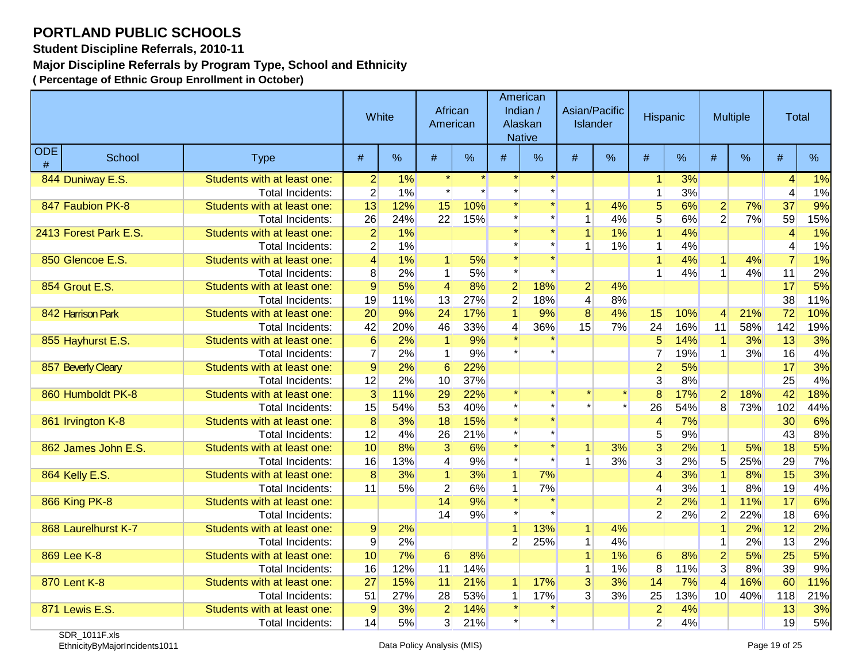**Student Discipline Referrals, 2010-11**

**Major Discipline Referrals by Program Type, School and Ethnicity**

|                    |                       |                             | White          |     | African<br>American  |      |                | American<br>Indian /<br>Alaskan<br><b>Native</b> | Asian/Pacific<br><b>Islander</b> |       | Hispanic                |      | <b>Multiple</b> |     | Total          |      |
|--------------------|-----------------------|-----------------------------|----------------|-----|----------------------|------|----------------|--------------------------------------------------|----------------------------------|-------|-------------------------|------|-----------------|-----|----------------|------|
| <b>ODE</b><br>$\#$ | School                | <b>Type</b>                 | #              | %   | #                    | $\%$ | #              | %                                                | #                                | $\%$  | #                       | $\%$ | #               | %   | #              | $\%$ |
|                    | 844 Duniway E.S.      | Students with at least one: | $\overline{2}$ | 1%  |                      |      |                |                                                  |                                  |       | $\mathbf{1}$            | 3%   |                 |     | 4              | 1%   |
|                    |                       | <b>Total Incidents:</b>     | $\overline{2}$ | 1%  |                      |      |                |                                                  |                                  |       | $\mathbf{1}$            | 3%   |                 |     | 4              | 1%   |
|                    | 847 Faubion PK-8      | Students with at least one: | 13             | 12% | 15                   | 10%  |                |                                                  |                                  | 4%    | 5                       | 6%   | $\overline{2}$  | 7%  | 37             | 9%   |
|                    |                       | Total Incidents:            | 26             | 24% | 22                   | 15%  |                |                                                  |                                  | 4%    | 5 <sup>2</sup>          | 6%   | $\overline{2}$  | 7%  | 59             | 15%  |
|                    | 2413 Forest Park E.S. | Students with at least one: | $\overline{2}$ | 1%  |                      |      |                | $\star$                                          |                                  | $1\%$ | $\overline{1}$          | 4%   |                 |     | $\overline{4}$ | 1%   |
|                    |                       | <b>Total Incidents:</b>     | $\overline{2}$ | 1%  |                      |      |                |                                                  |                                  | 1%    | $\mathbf{1}$            | 4%   |                 |     | 4              | 1%   |
|                    | 850 Glencoe E.S.      | Students with at least one: | $\vert$        | 1%  | 1                    | 5%   |                |                                                  |                                  |       | $\mathbf{1}$            | 4%   | $\mathbf{1}$    | 4%  | $\overline{7}$ | 1%   |
|                    |                       | <b>Total Incidents:</b>     | 8              | 2%  | $\mathbf{1}$         | 5%   |                |                                                  |                                  |       | 1                       | 4%   | $\mathbf{1}$    | 4%  | 11             | 2%   |
|                    | 854 Grout E.S.        | Students with at least one: | $\overline{9}$ | 5%  | $\vert 4 \vert$      | 8%   | $\mathbf{2}$   | 18%                                              | $\overline{2}$                   | 4%    |                         |      |                 |     | 17             | 5%   |
|                    |                       | <b>Total Incidents:</b>     | 19             | 11% | 13                   | 27%  | $\overline{2}$ | 18%                                              | $\overline{4}$                   | 8%    |                         |      |                 |     | 38             | 11%  |
|                    | 842 Harrison Park     | Students with at least one: | 20             | 9%  | 24                   | 17%  |                | 9%                                               | $\overline{8}$                   | 4%    | 15                      | 10%  | 4               | 21% | 72             | 10%  |
|                    |                       | <b>Total Incidents:</b>     | 42             | 20% | 46                   | 33%  | 4              | 36%                                              | 15                               | 7%    | 24                      | 16%  | 11              | 58% | 142            | 19%  |
|                    | 855 Hayhurst E.S.     | Students with at least one: | 6              | 2%  | $\blacktriangleleft$ | 9%   |                |                                                  |                                  |       | 5                       | 14%  | $\vert$         | 3%  | 13             | 3%   |
|                    |                       | Total Incidents:            | $\overline{7}$ | 2%  | 1                    | 9%   |                |                                                  |                                  |       | $\overline{7}$          | 19%  | $\mathbf{1}$    | 3%  | 16             | 4%   |
|                    | 857 Beverly Cleary    | Students with at least one: | $\overline{9}$ | 2%  | $6\phantom{1}6$      | 22%  |                |                                                  |                                  |       | $\overline{2}$          | 5%   |                 |     | 17             | 3%   |
|                    |                       | <b>Total Incidents:</b>     | 12             | 2%  | 10                   | 37%  |                |                                                  |                                  |       | 3 <sup>2</sup>          | 8%   |                 |     | 25             | 4%   |
|                    | 860 Humboldt PK-8     | Students with at least one: | $\overline{3}$ | 11% | 29                   | 22%  |                |                                                  |                                  |       | $\overline{8}$          | 17%  | $\overline{2}$  | 18% | 42             | 18%  |
|                    |                       | Total Incidents:            | 15             | 54% | 53                   | 40%  |                |                                                  |                                  |       | 26                      | 54%  | 8               | 73% | 102            | 44%  |
|                    | 861 Irvington K-8     | Students with at least one: | 8              | 3%  | 18                   | 15%  |                |                                                  |                                  |       | $\overline{4}$          | 7%   |                 |     | 30             | 6%   |
|                    |                       | <b>Total Incidents:</b>     | 12             | 4%  | 26                   | 21%  |                |                                                  |                                  |       | 5 <sup>2</sup>          | 9%   |                 |     | 43             | 8%   |
|                    | 862 James John E.S.   | Students with at least one: | 10             | 8%  | $\overline{3}$       | 6%   |                |                                                  | 1                                | 3%    | $\overline{3}$          | 2%   | $\vert$         | 5%  | 18             | 5%   |
|                    |                       | Total Incidents:            | 16             | 13% | $\vert 4 \vert$      | 9%   |                |                                                  |                                  | 3%    | $\overline{3}$          | 2%   | 5               | 25% | 29             | 7%   |
|                    | 864 Kelly E.S.        | Students with at least one: | 8 <sup>1</sup> | 3%  | $\vert$              | 3%   | $\mathbf{1}$   | 7%                                               |                                  |       | $\overline{\mathbf{4}}$ | 3%   | $\overline{1}$  | 8%  | 15             | 3%   |
|                    |                       | <b>Total Incidents:</b>     | 11             | 5%  | $\overline{2}$       | 6%   | $\mathbf{1}$   | 7%                                               |                                  |       | 4                       | 3%   | $\mathbf{1}$    | 8%  | 19             | 4%   |
|                    | <b>866 King PK-8</b>  | Students with at least one: |                |     | 14                   | 9%   |                | $\star$                                          |                                  |       | $\overline{2}$          | 2%   | $\overline{1}$  | 11% | 17             | 6%   |
|                    |                       | Total Incidents:            |                |     | 14                   | 9%   |                |                                                  |                                  |       | $\overline{2}$          | 2%   | $\overline{2}$  | 22% | 18             | 6%   |
|                    | 868 Laurelhurst K-7   | Students with at least one: | $\overline{9}$ | 2%  |                      |      |                | 13%                                              | $\mathbf{1}$                     | 4%    |                         |      | $\overline{1}$  | 2%  | 12             | 2%   |
|                    |                       | <b>Total Incidents:</b>     | $\overline{9}$ | 2%  |                      |      | $\overline{2}$ | 25%                                              | 1                                | 4%    |                         |      | $\mathbf{1}$    | 2%  | 13             | 2%   |
|                    | 869 Lee K-8           | Students with at least one: | 10             | 7%  | $6 \mid$             | 8%   |                |                                                  |                                  | 1%    | $6\phantom{1}6$         | 8%   | $\overline{2}$  | 5%  | 25             | 5%   |
|                    |                       | Total Incidents:            | 16             | 12% | 11                   | 14%  |                |                                                  |                                  | 1%    | 8                       | 11%  | 3               | 8%  | 39             | 9%   |
|                    | 870 Lent K-8          | Students with at least one: | 27             | 15% | 11                   | 21%  | $\mathbf{1}$   | 17%                                              | $\overline{3}$                   | 3%    | 14                      | 7%   | $\overline{4}$  | 16% | 60             | 11%  |
|                    |                       | <b>Total Incidents:</b>     | 51             | 27% | 28                   | 53%  | 1              | 17%                                              | 3 <sup>1</sup>                   | 3%    | 25                      | 13%  | 10              | 40% | 118            | 21%  |
|                    | 871 Lewis E.S.        | Students with at least one: | $\overline{9}$ | 3%  | $\overline{2}$       | 14%  |                |                                                  |                                  |       | $\overline{2}$          | 4%   |                 |     | 13             | 3%   |
|                    |                       | <b>Total Incidents:</b>     | 14             | 5%  | 3                    | 21%  |                |                                                  |                                  |       | $\overline{2}$          | 4%   |                 |     | 19             | 5%   |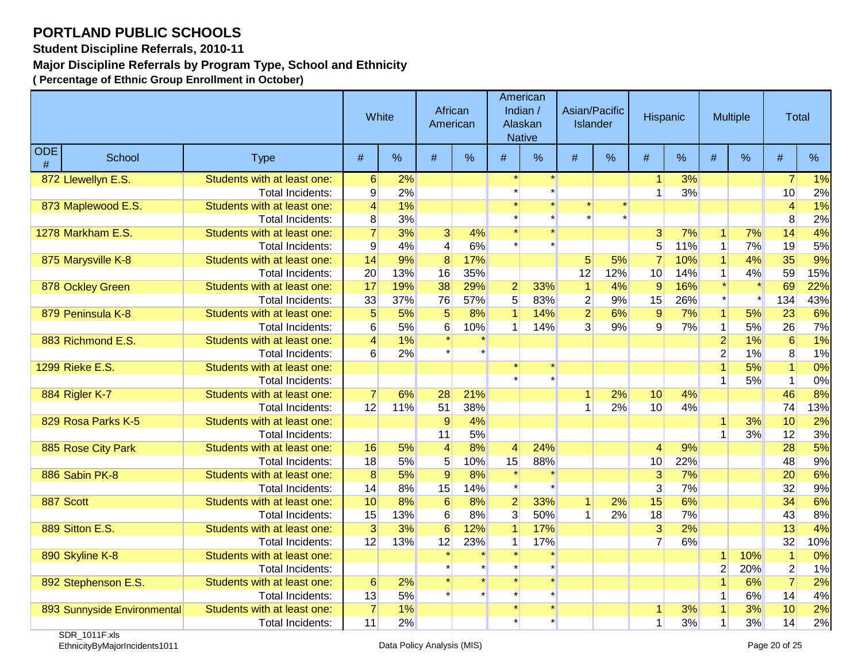**Student Discipline Referrals, 2010-11**

**Major Discipline Referrals by Program Type, School and Ethnicity**

|                    |                             |                             | White            |     | African<br>American |     |                 | American<br>Indian /<br>Alaskan<br><b>Native</b> |                | Asian/Pacific<br><b>Islander</b> | Hispanic       |     |                | <b>Multiple</b> | Total            |     |
|--------------------|-----------------------------|-----------------------------|------------------|-----|---------------------|-----|-----------------|--------------------------------------------------|----------------|----------------------------------|----------------|-----|----------------|-----------------|------------------|-----|
| <b>ODE</b><br>$\#$ | School                      | <b>Type</b>                 | #                | %   | #                   | %   | #               | %                                                | #              | %                                | $\#$           | %   | #              | %               | #                | %   |
|                    | 872 Llewellyn E.S.          | Students with at least one: | $6 \overline{6}$ | 2%  |                     |     |                 |                                                  |                |                                  | 1              | 3%  |                |                 | 7                | 1%  |
|                    |                             | Total Incidents:            | 9                | 2%  |                     |     |                 |                                                  |                |                                  | 1              | 3%  |                |                 | 10               | 2%  |
|                    | 873 Maplewood E.S.          | Students with at least one: | 4                | 1%  |                     |     |                 |                                                  |                |                                  |                |     |                |                 | 4                | 1%  |
|                    |                             | Total Incidents:            | 8                | 3%  |                     |     |                 |                                                  |                |                                  |                |     |                |                 | 8                | 2%  |
|                    | 1278 Markham E.S.           | Students with at least one: | $\overline{7}$   | 3%  | $\overline{3}$      | 4%  |                 |                                                  |                |                                  | $\overline{3}$ | 7%  | $\mathbf{1}$   | 7%              | 14               | 4%  |
|                    |                             | Total Incidents:            | $\overline{9}$   | 4%  | $\overline{4}$      | 6%  |                 |                                                  |                |                                  | 5              | 11% | $\mathbf{1}$   | 7%              | 19               | 5%  |
|                    | 875 Marysville K-8          | Students with at least one: | 14               | 9%  | $\overline{8}$      | 17% |                 |                                                  | 5 <sup>5</sup> | 5%                               | $\overline{7}$ | 10% | $\overline{1}$ | 4%              | 35               | 9%  |
|                    |                             | Total Incidents:            | 20               | 13% | 16                  | 35% |                 |                                                  | 12             | 12%                              | 10             | 14% | 1              | 4%              | 59               | 15% |
|                    | 878 Ockley Green            | Students with at least one: | 17               | 19% | 38                  | 29% | $\overline{2}$  | 33%                                              |                | 4%                               | $\overline{9}$ | 16% |                |                 | 69               | 22% |
|                    |                             | Total Incidents:            | 33               | 37% | 76                  | 57% | 5 <sup>1</sup>  | 83%                                              | $\overline{2}$ | 9%                               | 15             | 26% |                |                 | 134              | 43% |
|                    | 879 Peninsula K-8           | Students with at least one: | $\overline{5}$   | 5%  | $\overline{5}$      | 8%  | $\mathbf{1}$    | 14%                                              | $\overline{2}$ | 6%                               | 9              | 7%  | $\mathbf{1}$   | 5%              | 23               | 6%  |
|                    |                             | Total Incidents:            | 6                | 5%  | 6                   | 10% | 1               | 14%                                              | $\overline{3}$ | 9%                               | 9              | 7%  | $\mathbf 1$    | 5%              | 26               | 7%  |
|                    | 883 Richmond E.S.           | Students with at least one: | $\vert 4 \vert$  | 1%  |                     |     |                 |                                                  |                |                                  |                |     | $\overline{2}$ | 1%              | $6\overline{6}$  | 1%  |
|                    |                             | Total Incidents:            | 6                | 2%  |                     |     |                 |                                                  |                |                                  |                |     | $\overline{2}$ | 1%              | 8                | 1%  |
|                    | 1299 Rieke E.S.             | Students with at least one: |                  |     |                     |     |                 |                                                  |                |                                  |                |     | 1              | 5%              |                  | 0%  |
|                    |                             | Total Incidents:            |                  |     |                     |     |                 |                                                  |                |                                  |                |     | 1              | 5%              | $\mathbf{1}$     | 0%  |
|                    | 884 Rigler K-7              | Students with at least one: | $\overline{7}$   | 6%  | 28                  | 21% |                 |                                                  | 1              | 2%                               | 10             | 4%  |                |                 | 46               | 8%  |
|                    |                             | Total Incidents:            | 12               | 11% | 51                  | 38% |                 |                                                  |                | 2%                               | 10             | 4%  |                |                 | 74               | 13% |
|                    | 829 Rosa Parks K-5          | Students with at least one: |                  |     | 9                   | 4%  |                 |                                                  |                |                                  |                |     | $\mathbf{1}$   | 3%              | 10               | 2%  |
|                    |                             | Total Incidents:            |                  |     | 11                  | 5%  |                 |                                                  |                |                                  |                |     | 1              | 3%              | 12               | 3%  |
|                    | 885 Rose City Park          | Students with at least one: | 16               | 5%  | $\vert 4 \vert$     | 8%  | $\vert 4 \vert$ | 24%                                              |                |                                  | 4              | 9%  |                |                 | 28               | 5%  |
|                    |                             | Total Incidents:            | 18               | 5%  | 5                   | 10% | 15              | 88%                                              |                |                                  | 10             | 22% |                |                 | 48               | 9%  |
|                    | 886 Sabin PK-8              | Students with at least one: | $\overline{8}$   | 5%  | $\overline{9}$      | 8%  |                 |                                                  |                |                                  | $\overline{3}$ | 7%  |                |                 | 20               | 6%  |
|                    |                             | Total Incidents:            | 14               | 8%  | 15                  | 14% |                 |                                                  |                |                                  | $\overline{3}$ | 7%  |                |                 | 32               | 9%  |
|                    | 887 Scott                   | Students with at least one: | 10               | 8%  | 6                   | 8%  | $\overline{2}$  | 33%                                              |                | 2%                               | 15             | 6%  |                |                 | 34               | 6%  |
|                    |                             | <b>Total Incidents:</b>     | 15               | 13% | 6                   | 8%  | $\overline{3}$  | 50%                                              |                | 2%                               | 18             | 7%  |                |                 | 43               | 8%  |
|                    | 889 Sitton E.S.             | Students with at least one: | $\overline{3}$   | 3%  | 6                   | 12% | $\vert$         | 17%                                              |                |                                  | $\overline{3}$ | 2%  |                |                 | 13               | 4%  |
|                    |                             | Total Incidents:            | 12               | 13% | 12                  | 23% | $\mathbf{1}$    | 17%                                              |                |                                  | 7              | 6%  |                |                 | 32               | 10% |
|                    | 890 Skyline K-8             | Students with at least one: |                  |     |                     |     |                 |                                                  |                |                                  |                |     | $\mathbf{1}$   | 10%             |                  | 0%  |
|                    |                             | Total Incidents:            |                  |     |                     |     |                 |                                                  |                |                                  |                |     | $\overline{2}$ | 20%             | $\boldsymbol{2}$ | 1%  |
|                    | 892 Stephenson E.S.         | Students with at least one: | $6 \overline{6}$ | 2%  |                     |     |                 | $\star$                                          |                |                                  |                |     | $\overline{1}$ | 6%              | $\overline{7}$   | 2%  |
|                    |                             | Total Incidents:            | 13               | 5%  |                     |     |                 |                                                  |                |                                  |                |     | 1              | 6%              | 14               | 4%  |
|                    | 893 Sunnyside Environmental | Students with at least one: | $\overline{7}$   | 1%  |                     |     |                 |                                                  |                |                                  | 1              | 3%  | 1              | 3%              | 10               | 2%  |
|                    |                             | Total Incidents:            | 11               | 2%  |                     |     |                 |                                                  |                |                                  | 1              | 3%  | 1              | 3%              | 14               | 2%  |
|                    | $CDD$ $AOAB$ $A = 1$        |                             |                  |     |                     |     |                 |                                                  |                |                                  |                |     |                |                 |                  |     |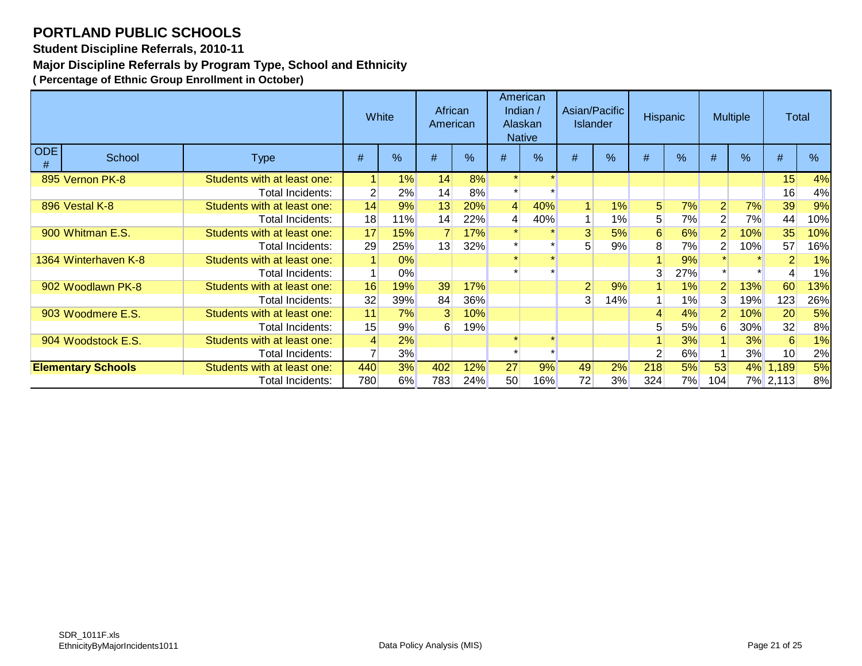**Student Discipline Referrals, 2010-11**

**Major Discipline Referrals by Program Type, School and Ethnicity**

|                 |                           |                             | White |            | African<br>American |            | American<br>Indian $/$<br>Alaskan<br><b>Native</b> |               | Asian/Pacific<br><b>Islander</b> |       | <b>Hispanic</b> |      | <b>Multiple</b> |      | Total    |     |
|-----------------|---------------------------|-----------------------------|-------|------------|---------------------|------------|----------------------------------------------------|---------------|----------------------------------|-------|-----------------|------|-----------------|------|----------|-----|
| <b>ODE</b><br># | School                    | <b>Type</b>                 | #     | %          | #                   | %          | #                                                  | $\frac{9}{6}$ | #                                | %     | #               | $\%$ | #               | $\%$ | #        | %   |
|                 | 895 Vernon PK-8           | Students with at least one: |       | 1%         | 14                  | 8%         |                                                    |               |                                  |       |                 |      |                 |      | 15       | 4%  |
|                 |                           | Total Incidents:            |       | 2%         | 14                  | 8%         |                                                    |               |                                  |       |                 |      |                 |      | 16       | 4%  |
|                 | 896 Vestal K-8            | Students with at least one: | 14    | 9%         | 13                  | 20%        | 4                                                  | 40%           | $\blacktriangleleft$             | 1%    | 5 <sup>5</sup>  | 7%   | 2               | 7%   | 39       | 9%  |
|                 |                           | Total Incidents:            | 18    | 11%        | 14                  | 22%        |                                                    | 40%           |                                  | $1\%$ | 5 <sup>5</sup>  | 7%   | $\overline{2}$  | 7%   | 44       | 10% |
|                 | 900 Whitman E.S.          | Students with at least one: | 17    | 15%        |                     | 17%        |                                                    |               | 3                                | 5%    | 6               | 6%   | 2               | 10%  | 35       | 10% |
|                 |                           | Total Incidents:            | 29    | 25%        | 13                  | 32%        |                                                    |               | 5 <sub>5</sub>                   | 9%    | 8 <sub>l</sub>  | 7%   |                 | 10%  | 57       | 16% |
|                 | 1364 Winterhaven K-8      | Students with at least one: |       | 0%         |                     |            |                                                    |               |                                  |       |                 | 9%   |                 |      |          | 1%  |
|                 |                           | Total Incidents:            |       | $0\%$      |                     |            |                                                    |               |                                  |       |                 | 27%  |                 |      |          | 1%  |
|                 | 902 Woodlawn PK-8         | Students with at least one: | 16    | 19%        | 39                  | 17%        |                                                    |               | $\overline{2}$                   | 9%    |                 | 1%   | $\overline{2}$  | 13%  | 60       | 13% |
|                 |                           | Total Incidents:            | 32    | <b>39%</b> | 84                  | <b>36%</b> |                                                    |               | 3 <sup>1</sup>                   | 14%   |                 | 1%   | 3               | 19%  | 123      | 26% |
|                 | 903 Woodmere E.S.         | Students with at least one: | 11    | 7%         | $\vert 3 \vert$     | 10%        |                                                    |               |                                  |       |                 | 4%   |                 | 10%  | 20       | 5%  |
|                 |                           | Total Incidents:            | 15    | 9%         | $6 \mid$            | <b>19%</b> |                                                    |               |                                  |       |                 | 5%   | 6               | 30%  | 32       | 8%  |
|                 | 904 Woodstock E.S.        | Students with at least one: | 4     | 2%         |                     |            |                                                    |               |                                  |       |                 | 3%   |                 | 3%   | 6        | 1%  |
|                 |                           | Total Incidents:            |       | 3%         |                     |            |                                                    |               |                                  |       | 2               | 6%   |                 | 3%   | 10       | 2%  |
|                 | <b>Elementary Schools</b> | Students with at least one: | 440   | 3%         | 402                 | 12%        | 27                                                 | 9%            | 49                               | 2%    | 218             | 5%   | 53              |      | 4% 1,189 | 5%  |
|                 |                           | Total Incidents:            | 780   | 6%         | 783                 | 24%        | 50 <sub>1</sub>                                    | 16%           | 72                               | 3%    | 324             | 7%   | 104             |      | 7% 2,113 | 8%  |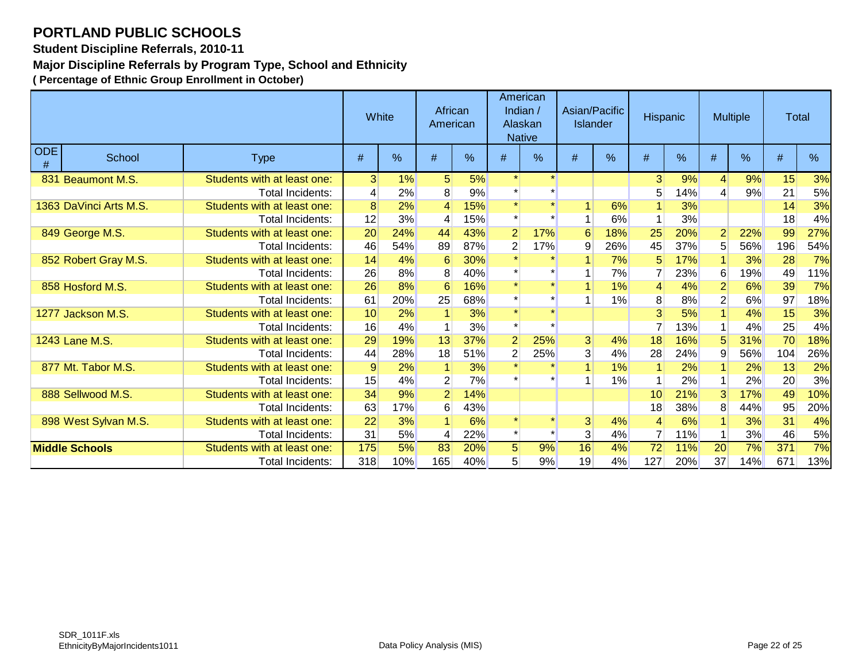**Student Discipline Referrals, 2010-11**

**Major Discipline Referrals by Program Type, School and Ethnicity**

|                    |                        |                             | White           |     | African<br>American |     |                | American<br>Indian /<br>Alaskan<br><b>Native</b> | Asian/Pacific<br><b>Islander</b> |     | <b>Hispanic</b> |      |                | <b>Multiple</b> | Total |     |
|--------------------|------------------------|-----------------------------|-----------------|-----|---------------------|-----|----------------|--------------------------------------------------|----------------------------------|-----|-----------------|------|----------------|-----------------|-------|-----|
| <b>ODE</b><br>$\#$ | School                 | <b>Type</b>                 | #               | %   | #                   | %   | #              | $\frac{9}{6}$                                    | #                                | %   | #               | $\%$ | #              | $\frac{9}{6}$   | #     | %   |
|                    | 831 Beaumont M.S.      | Students with at least one: | 3 <sup>1</sup>  | 1%  | 5 <sup>5</sup>      | 5%  |                |                                                  |                                  |     | 3               | 9%   | $\vert$        | 9%              | 15    | 3%  |
|                    |                        | Total Incidents:            | 4               | 2%  | 8                   | 9%  |                |                                                  |                                  |     | 5 <sub>5</sub>  | 14%  | 4              | 9%              | 21    | 5%  |
|                    | 1363 DaVinci Arts M.S. | Students with at least one: | 8               | 2%  | $\overline{4}$      | 15% |                |                                                  | 1                                | 6%  |                 | 3%   |                |                 | 14    | 3%  |
|                    |                        | Total Incidents:            | 12              | 3%  |                     | 15% |                |                                                  |                                  | 6%  |                 | 3%   |                |                 | 18    | 4%  |
|                    | 849 George M.S.        | Students with at least one: | 20              | 24% | 44                  | 43% | $\overline{2}$ | 17%                                              | $6\phantom{1}6$                  | 18% | 25              | 20%  | $\overline{2}$ | 22%             | 99    | 27% |
|                    |                        | Total Incidents:            | 46              | 54% | 89                  | 87% | $\overline{2}$ | 17%                                              | 9                                | 26% | 45              | 37%  | 5              | 56%             | 196   | 54% |
|                    | 852 Robert Gray M.S.   | Students with at least one: | 14              | 4%  | 6                   | 30% |                |                                                  |                                  | 7%  | 5               | 17%  |                | 3%              | 28    | 7%  |
|                    |                        | Total Incidents:            | 26              | 8%  | 8                   | 40% |                |                                                  |                                  | 7%  |                 | 23%  | 6              | 19%             | 49    | 11% |
|                    | 858 Hosford M.S.       | Students with at least one: | 26              | 8%  | 6                   | 16% |                | $\star$                                          | 1                                | 1%  | 4               | 4%   | $\overline{2}$ | 6%              | 39    | 7%  |
|                    |                        | Total Incidents:            | 61              | 20% | 25                  | 68% |                |                                                  | 1                                | 1%  | 8               | 8%   |                | 6%              | 97    | 18% |
|                    | 1277 Jackson M.S.      | Students with at least one: | 10              | 2%  |                     | 3%  |                | $\star$                                          |                                  |     | 3               | 5%   |                | 4%              | 15    | 3%  |
|                    |                        | Total Incidents:            | 16              | 4%  |                     | 3%  |                |                                                  |                                  |     |                 | 13%  |                | 4%              | 25    | 4%  |
|                    | 1243 Lane M.S.         | Students with at least one: | 29              | 19% | 13                  | 37% | $\overline{2}$ | 25%                                              | $\overline{3}$                   | 4%  | 18              | 16%  | 5              | 31%             | 70    | 18% |
|                    |                        | Total Incidents:            | 44              | 28% | 18                  | 51% | $\overline{2}$ | 25%                                              | 3                                | 4%  | 28              | 24%  | 9              | 56%             | 104   | 26% |
|                    | 877 Mt. Tabor M.S.     | Students with at least one: | 9               | 2%  |                     | 3%  |                |                                                  | 1                                | 1%  |                 | 2%   |                | 2%              | 13    | 2%  |
|                    |                        | Total Incidents:            | 15              | 4%  | $\mathbf{2}$        | 7%  |                |                                                  |                                  | 1%  |                 | 2%   |                | 2%              | 20    | 3%  |
|                    | 888 Sellwood M.S.      | Students with at least one: | 34              | 9%  | $\overline{2}$      | 14% |                |                                                  |                                  |     | 10              | 21%  | 3              | 17%             | 49    | 10% |
|                    |                        | Total Incidents:            | 63              | 17% | 6                   | 43% |                |                                                  |                                  |     | 18              | 38%  | 8              | 44%             | 95    | 20% |
|                    | 898 West Sylvan M.S.   | Students with at least one: | $\overline{22}$ | 3%  |                     | 6%  |                |                                                  | 3                                | 4%  | 4               | 6%   |                | 3%              | 31    | 4%  |
|                    |                        | Total Incidents:            | 31              | 5%  | 4                   | 22% |                |                                                  | 3 <sup>1</sup>                   | 4%  | $\overline{7}$  | 11%  |                | 3%              | 46    | 5%  |
|                    | <b>Middle Schools</b>  | Students with at least one: | 175             | 5%  | 83                  | 20% | 5 <sup>5</sup> | 9%                                               | 16                               | 4%  | 72              | 11%  | 20             | 7%              | 371   | 7%  |
|                    |                        | Total Incidents:            | 318             | 10% | 165                 | 40% | 5 <sub>1</sub> | 9%                                               | 19                               | 4%  | 127             | 20%  | 37             | 14%             | 671   | 13% |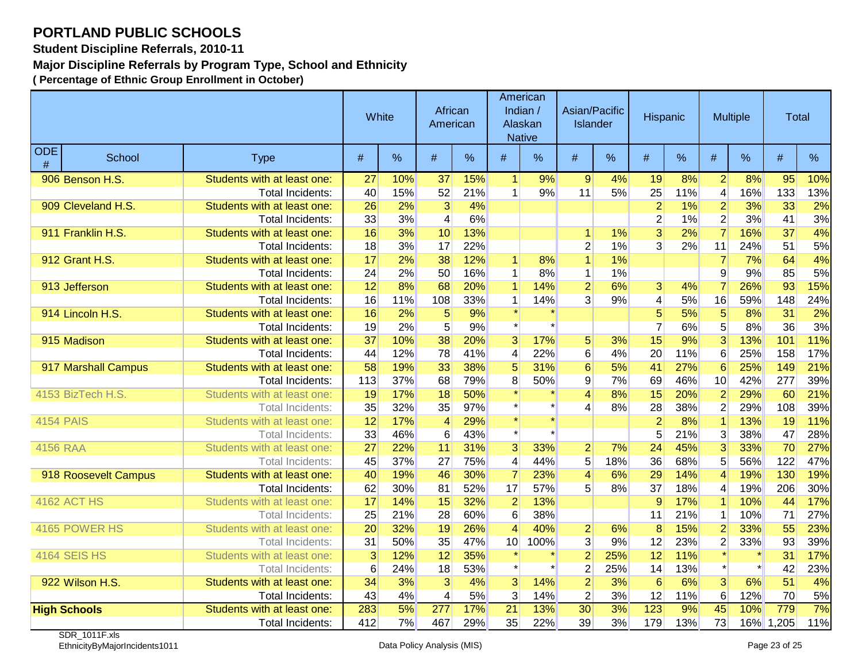**Student Discipline Referrals, 2010-11**

**Major Discipline Referrals by Program Type, School and Ethnicity**

|                  |                      |                             |                 | White | African<br>American |     |                      | American<br>Indian /<br>Alaskan<br><b>Native</b> | Asian/Pacific<br>Islander |     | Hispanic       |     | <b>Multiple</b>         |     | Total     |      |
|------------------|----------------------|-----------------------------|-----------------|-------|---------------------|-----|----------------------|--------------------------------------------------|---------------------------|-----|----------------|-----|-------------------------|-----|-----------|------|
| <b>ODE</b><br>#  | School               | <b>Type</b>                 | #               | %     | #                   | %   | #                    | $\frac{0}{0}$                                    | #                         | %   | #              | %   | #                       | %   | #         | $\%$ |
|                  | 906 Benson H.S.      | Students with at least one: | 27              | 10%   | 37                  | 15% | $\blacktriangleleft$ | 9%                                               | $\overline{9}$            | 4%  | 19             | 8%  | $\overline{2}$          | 8%  | 95        | 10%  |
|                  |                      | Total Incidents:            | 40              | 15%   | 52                  | 21% | $\overline{1}$       | 9%                                               | 11                        | 5%  | 25             | 11% | $\overline{\mathbf{4}}$ | 16% | 133       | 13%  |
|                  | 909 Cleveland H.S.   | Students with at least one: | 26              | 2%    | $\overline{3}$      | 4%  |                      |                                                  |                           |     | $\overline{2}$ | 1%  | $\overline{2}$          | 3%  | 33        | 2%   |
|                  |                      | <b>Total Incidents:</b>     | 33              | 3%    | 4                   | 6%  |                      |                                                  |                           |     | $\overline{2}$ | 1%  | $\overline{2}$          | 3%  | 41        | 3%   |
|                  | 911 Franklin H.S.    | Students with at least one: | 16              | 3%    | 10                  | 13% |                      |                                                  | $\mathbf{1}$              | 1%  | $\overline{3}$ | 2%  | $\overline{7}$          | 16% | 37        | 4%   |
|                  |                      | <b>Total Incidents:</b>     | 18              | 3%    | 17                  | 22% |                      |                                                  | $\overline{2}$            | 1%  | $\overline{3}$ | 2%  | 11                      | 24% | 51        | 5%   |
|                  | 912 Grant H.S.       | Students with at least one: | 17              | 2%    | 38                  | 12% | $\mathbf{1}$         | 8%                                               | $\overline{1}$            | 1%  |                |     | $\overline{7}$          | 7%  | 64        | 4%   |
|                  |                      | Total Incidents:            | 24              | 2%    | 50                  | 16% | $\mathbf{1}$         | 8%                                               | $\mathbf{1}$              | 1%  |                |     | $\overline{9}$          | 9%  | 85        | 5%   |
|                  | 913 Jefferson        | Students with at least one: | 12              | 8%    | 68                  | 20% | $\mathbf{1}$         | 14%                                              | $\overline{2}$            | 6%  | 3 <sup>1</sup> | 4%  | $\overline{7}$          | 26% | 93        | 15%  |
|                  |                      | <b>Total Incidents:</b>     | 16              | 11%   | 108                 | 33% | $\mathbf{1}$         | 14%                                              | $\overline{3}$            | 9%  | 4              | 5%  | 16                      | 59% | 148       | 24%  |
|                  | 914 Lincoln H.S.     | Students with at least one: | 16              | 2%    | 5                   | 9%  |                      |                                                  |                           |     | 5              | 5%  | 5                       | 8%  | 31        | 2%   |
|                  |                      | <b>Total Incidents:</b>     | 19              | 2%    | 5                   | 9%  | $\star$              |                                                  |                           |     | $\overline{7}$ | 6%  | 5 <sup>1</sup>          | 8%  | 36        | 3%   |
|                  | 915 Madison          | Students with at least one: | 37              | 10%   | 38                  | 20% | $\overline{3}$       | 17%                                              | $\overline{5}$            | 3%  | 15             | 9%  | $\overline{3}$          | 13% | 101       | 11%  |
|                  |                      | Total Incidents:            | 44              | 12%   | 78                  | 41% | 4                    | 22%                                              | $\,6$                     | 4%  | 20             | 11% | 6                       | 25% | 158       | 17%  |
|                  | 917 Marshall Campus  | Students with at least one: | 58              | 19%   | 33                  | 38% | 5                    | 31%                                              | $6\phantom{1}$            | 5%  | 41             | 27% | $6\phantom{1}6$         | 25% | 149       | 21%  |
|                  |                      | <b>Total Incidents:</b>     | 113             | 37%   | 68                  | 79% | 8                    | 50%                                              | $\boldsymbol{9}$          | 7%  | 69             | 46% | 10                      | 42% | 277       | 39%  |
|                  | 4153 BizTech H.S.    | Students with at least one: | 19              | 17%   | 18                  | 50% |                      |                                                  | 4                         | 8%  | 15             | 20% | $\overline{2}$          | 29% | 60        | 21%  |
|                  |                      | <b>Total Incidents:</b>     | 35              | 32%   | 35                  | 97% |                      |                                                  | 4                         | 8%  | 28             | 38% | $\overline{2}$          | 29% | 108       | 39%  |
| <b>4154 PAIS</b> |                      | Students with at least one: | 12              | 17%   | $\overline{4}$      | 29% |                      | $\star$                                          |                           |     | $\overline{2}$ | 8%  | $\overline{1}$          | 13% | 19        | 11%  |
|                  |                      | Total Incidents:            | 33              | 46%   | 6                   | 43% |                      |                                                  |                           |     | 5              | 21% | 3                       | 38% | 47        | 28%  |
| 4156 RAA         |                      | Students with at least one: | $\overline{27}$ | 22%   | 11                  | 31% | $\overline{3}$       | 33%                                              | $\overline{2}$            | 7%  | 24             | 45% | $\overline{3}$          | 33% | 70        | 27%  |
|                  |                      | <b>Total Incidents:</b>     | 45              | 37%   | 27                  | 75% | $\overline{4}$       | 44%                                              | 5                         | 18% | 36             | 68% | 5                       | 56% | 122       | 47%  |
|                  | 918 Roosevelt Campus | Students with at least one: | 40              | 19%   | 46                  | 30% | $\overline{7}$       | 23%                                              | $\overline{4}$            | 6%  | 29             | 14% | $\overline{4}$          | 19% | 130       | 19%  |
|                  |                      | <b>Total Incidents:</b>     | 62              | 30%   | 81                  | 52% | 17                   | 57%                                              | 5 <sup>1</sup>            | 8%  | 37             | 18% | $\overline{4}$          | 19% | 206       | 30%  |
|                  | <b>4162 ACT HS</b>   | Students with at least one: | 17              | 14%   | 15                  | 32% | $\overline{2}$       | 13%                                              |                           |     | 9              | 17% | $\overline{1}$          | 10% | 44        | 17%  |
|                  |                      | Total Incidents:            | 25              | 21%   | 28                  | 60% | 6                    | 38%                                              |                           |     | 11             | 21% | 1                       | 10% | 71        | 27%  |
|                  | 4165 POWER HS        | Students with at least one: | 20              | 32%   | 19                  | 26% | $\overline{4}$       | 40%                                              | $\overline{2}$            | 6%  | 8              | 15% | $\overline{2}$          | 33% | 55        | 23%  |
|                  |                      | <b>Total Incidents:</b>     | 31              | 50%   | 35                  | 47% | 10 <sup>1</sup>      | 100%                                             | 3                         | 9%  | 12             | 23% | $\overline{2}$          | 33% | 93        | 39%  |
|                  | <b>4164 SEIS HS</b>  | Students with at least one: | 3               | 12%   | 12                  | 35% |                      | $\star$                                          | $\overline{2}$            | 25% | 12             | 11% |                         |     | 31        | 17%  |
|                  |                      | <b>Total Incidents:</b>     | $6\phantom{1}6$ | 24%   | 18                  | 53% |                      |                                                  | $\overline{2}$            | 25% | 14             | 13% |                         |     | 42        | 23%  |
|                  | 922 Wilson H.S.      | Students with at least one: | 34              | 3%    | $\overline{3}$      | 4%  | $\overline{3}$       | 14%                                              | $\overline{2}$            | 3%  | 6              | 6%  | $\overline{3}$          | 6%  | 51        | 4%   |
|                  |                      | <b>Total Incidents:</b>     | 43              | 4%    | $\vert 4 \vert$     | 5%  | $\overline{3}$       | 14%                                              | $\boldsymbol{2}$          | 3%  | 12             | 11% | $\,6\,$                 | 12% | 70        | 5%   |
|                  | <b>High Schools</b>  | Students with at least one: | 283             | 5%    | $\overline{277}$    | 17% | $\overline{21}$      | 13%                                              | $\overline{30}$           | 3%  | 123            | 9%  | 45                      | 10% | 779       | 7%   |
|                  |                      | <b>Total Incidents:</b>     | 412             | 7%    | 467                 | 29% | 35                   | 22%                                              | 39                        | 3%  | 179            | 13% | 73                      |     | 16% 1,205 | 11%  |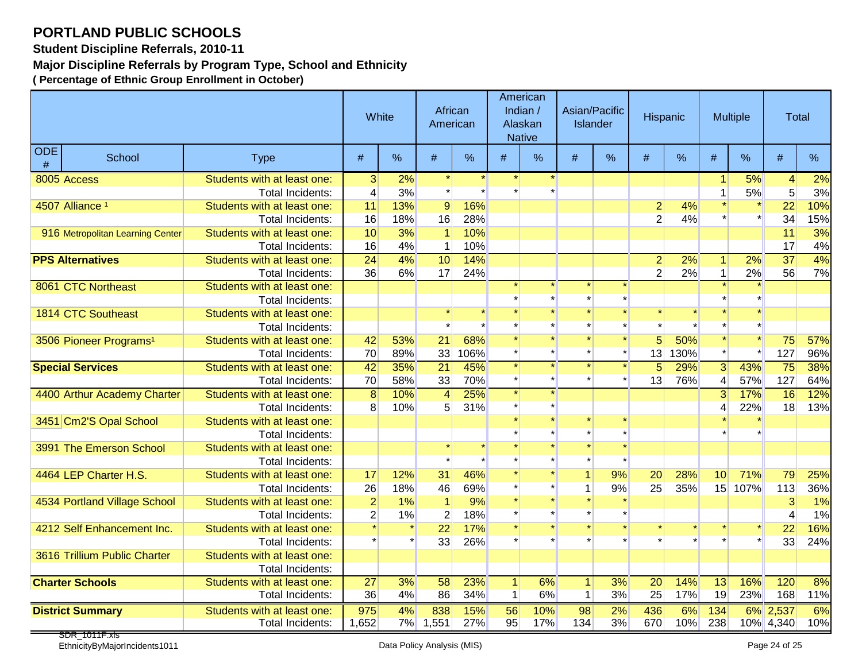**Student Discipline Referrals, 2010-11**

**Major Discipline Referrals by Program Type, School and Ethnicity**

|                 |                                    |                             | White            |               | African<br>American |      |                | American<br>Indian /<br>Alaskan<br><b>Native</b> | Asian/Pacific<br><b>Islander</b> |         | <b>Hispanic</b> |         |                | <b>Multiple</b> | Total           |     |
|-----------------|------------------------------------|-----------------------------|------------------|---------------|---------------------|------|----------------|--------------------------------------------------|----------------------------------|---------|-----------------|---------|----------------|-----------------|-----------------|-----|
| <b>ODE</b><br># | School                             | <b>Type</b>                 | #                | $\frac{0}{0}$ | #                   | $\%$ | #              | %                                                | #                                | %       | #               | $\%$    | #              | %               | #               | %   |
|                 | 8005 Access                        | Students with at least one: | 3 <sup>1</sup>   | 2%            |                     |      |                |                                                  |                                  |         |                 |         |                | 5%              | 4               | 2%  |
|                 |                                    | Total Incidents:            | $\overline{4}$   | 3%            |                     |      |                |                                                  |                                  |         |                 |         | $\mathbf{1}$   | 5%              | $\sqrt{5}$      | 3%  |
|                 | 4507 Alliance <sup>1</sup>         | Students with at least one: | 11               | 13%           | $\overline{9}$      | 16%  |                |                                                  |                                  |         | $\overline{2}$  | 4%      |                |                 | 22              | 10% |
|                 |                                    | Total Incidents:            | 16               | 18%           | 16                  | 28%  |                |                                                  |                                  |         | $\overline{2}$  | 4%      |                |                 | 34              | 15% |
|                 | 916 Metropolitan Learning Center   | Students with at least one: | 10               | 3%            | $\vert$             | 10%  |                |                                                  |                                  |         |                 |         |                |                 | 11              | 3%  |
|                 |                                    | <b>Total Incidents:</b>     | 16               | 4%            | 1                   | 10%  |                |                                                  |                                  |         |                 |         |                |                 | 17              | 4%  |
|                 | <b>PPS Alternatives</b>            | Students with at least one: | 24               | 4%            | 10                  | 14%  |                |                                                  |                                  |         | $\overline{2}$  | 2%      | 1              | 2%              | $\overline{37}$ | 4%  |
|                 |                                    | Total Incidents:            | 36               | 6%            | 17                  | 24%  |                |                                                  |                                  |         | $\overline{2}$  | 2%      | $\mathbf{1}$   | 2%              | 56              | 7%  |
|                 | 8061 CTC Northeast                 | Students with at least one: |                  |               |                     |      |                |                                                  |                                  |         |                 |         |                |                 |                 |     |
|                 |                                    | Total Incidents:            |                  |               |                     |      |                |                                                  |                                  |         |                 |         |                |                 |                 |     |
|                 | 1814 CTC Southeast                 | Students with at least one: |                  |               |                     |      |                |                                                  |                                  |         |                 |         |                |                 |                 |     |
|                 |                                    | Total Incidents:            |                  |               |                     |      |                |                                                  |                                  |         |                 |         |                |                 |                 |     |
|                 | 3506 Pioneer Programs <sup>1</sup> | Students with at least one: | 42               | 53%           | 21                  | 68%  |                |                                                  |                                  |         | 5               | 50%     |                |                 | 75              | 57% |
|                 |                                    | Total Incidents:            | 70               | 89%           | 33                  | 106% |                |                                                  |                                  |         | 13              | 130%    |                |                 | 127             | 96% |
|                 | <b>Special Services</b>            | Students with at least one: | 42               | 35%           | 21                  | 45%  |                |                                                  |                                  |         | 5               | 29%     | 3 <sup>1</sup> | 43%             | 75              | 38% |
|                 |                                    | Total Incidents:            | 70               | 58%           | 33                  | 70%  |                |                                                  |                                  |         | 13              | 76%     | 4              | 57%             | 127             | 64% |
|                 | 4400 Arthur Academy Charter        | Students with at least one: | $\boldsymbol{8}$ | 10%           | $\vert$             | 25%  | $\star$        |                                                  |                                  |         |                 |         | 3              | 17%             | $\overline{16}$ | 12% |
|                 |                                    | Total Incidents:            | 8 <sup>1</sup>   | 10%           | 5 <sup>2</sup>      | 31%  |                |                                                  |                                  |         |                 |         | 4              | 22%             | 18              | 13% |
|                 | 3451 Cm2'S Opal School             | Students with at least one: |                  |               |                     |      |                |                                                  |                                  |         |                 |         |                |                 |                 |     |
|                 |                                    | Total Incidents:            |                  |               |                     |      |                |                                                  |                                  |         |                 |         |                |                 |                 |     |
|                 | 3991 The Emerson School            | Students with at least one: |                  |               |                     |      |                |                                                  |                                  |         |                 |         |                |                 |                 |     |
|                 |                                    | Total Incidents:            |                  |               |                     |      |                |                                                  |                                  |         |                 |         |                |                 |                 |     |
|                 | 4464 LEP Charter H.S.              | Students with at least one: | 17               | 12%           | 31                  | 46%  |                |                                                  | $\mathbf{1}$                     | 9%      | 20              | 28%     | 10             | 71%             | 79              | 25% |
|                 |                                    | Total Incidents:            | 26               | 18%           | 46                  | 69%  |                |                                                  | 1                                | 9%      | 25              | 35%     | 15             | 107%            | 113             | 36% |
|                 | 4534 Portland Village School       | Students with at least one: | $\overline{2}$   | 1%            | $\mathbf{1}$        | 9%   |                |                                                  |                                  |         |                 |         |                |                 | 3               | 1%  |
|                 |                                    | Total Incidents:            | $\overline{2}$   | 1%            | $\mathbf{2}$        | 18%  |                |                                                  |                                  |         |                 |         |                |                 | 4               | 1%  |
|                 | 4212 Self Enhancement Inc.         | Students with at least one: |                  |               | 22                  | 17%  |                |                                                  |                                  | $\star$ |                 |         |                |                 | 22              | 16% |
|                 |                                    | Total Incidents:            |                  |               | 33                  | 26%  |                |                                                  |                                  |         |                 | $\star$ |                |                 | 33              | 24% |
|                 | 3616 Trillium Public Charter       | Students with at least one: |                  |               |                     |      |                |                                                  |                                  |         |                 |         |                |                 |                 |     |
|                 |                                    | <b>Total Incidents:</b>     |                  |               |                     |      |                |                                                  |                                  |         |                 |         |                |                 |                 |     |
|                 | <b>Charter Schools</b>             | Students with at least one: | 27               | 3%            | 58                  | 23%  | 1 <sup>1</sup> | 6%                                               | $\mathbf{1}$                     | 3%      | 20              | 14%     | 13             | 16%             | 120             | 8%  |
|                 |                                    | <b>Total Incidents:</b>     | 36               | 4%            | 86                  | 34%  | $\vert$ 1      | 6%                                               | $\overline{1}$                   | 3%      | 25              | 17%     | 19             | 23%             | 168             | 11% |
|                 | <b>District Summary</b>            | Students with at least one: | 975              | 4%            | 838                 | 15%  | 56             | 10%                                              | 98                               | 2%      | 436             | 6%      | 134            | 6%              | 2,537           | 6%  |
|                 |                                    | <b>Total Incidents:</b>     | 1,652            | 7%            | 1,551               | 27%  | 95             | 17%                                              | 134                              | 3%      | 670             | 10%     | 238            |                 | 10% 4,340       | 10% |